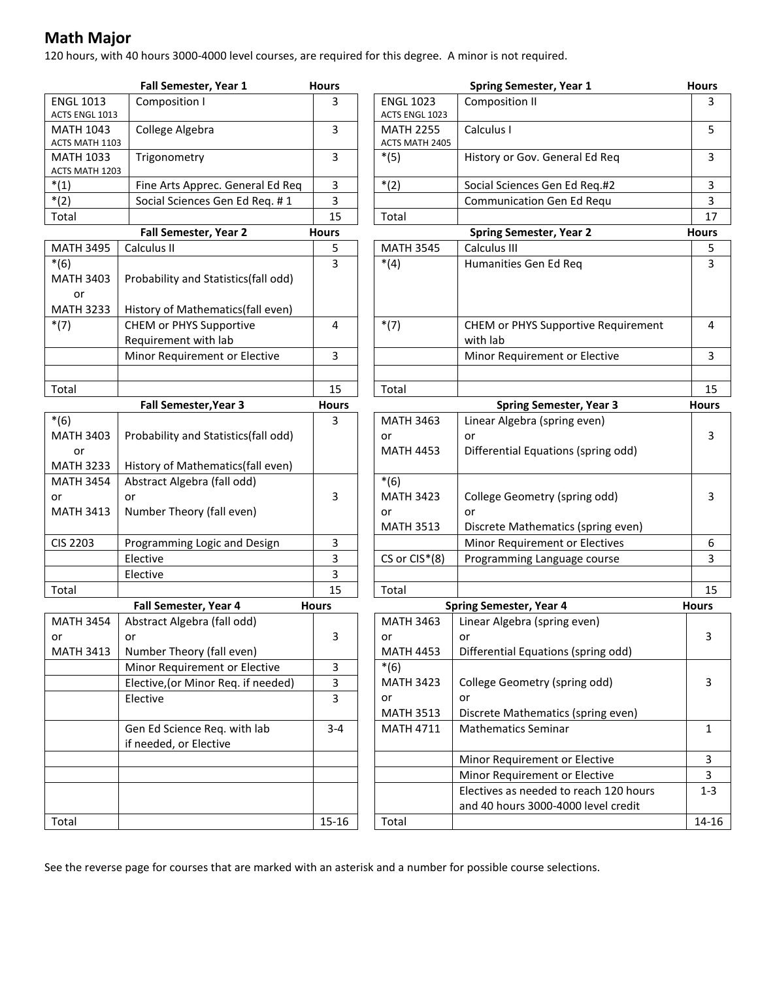## **Math Major**

120 hours, with 40 hours 3000-4000 level courses, are required for this degree. A minor is not required.

|                                    | Fall Semester, Year 1                                  | <b>Hours</b> |                  |
|------------------------------------|--------------------------------------------------------|--------------|------------------|
| <b>ENGL 1013</b>                   | Composition I                                          | 3            | <b>ENGL 1023</b> |
| ACTS ENGL 1013                     |                                                        |              | ACTS ENGL 102    |
| <b>MATH 1043</b>                   | College Algebra                                        | 3            | <b>MATH 2255</b> |
| ACTS MATH 1103                     |                                                        | 3            | ACTS MATH 24     |
| <b>MATH 1033</b><br>ACTS MATH 1203 | Trigonometry                                           |              | $*(5)$           |
| $*(1)$                             | Fine Arts Apprec. General Ed Req                       | 3            | $*(2)$           |
| $*(2)$                             | Social Sciences Gen Ed Req. #1                         | 3            |                  |
| Total                              |                                                        | 15           | Total            |
|                                    | Fall Semester, Year 2                                  | <b>Hours</b> |                  |
| <b>MATH 3495</b>                   | Calculus II                                            | 5            | <b>MATH 3545</b> |
| $*(6)$                             |                                                        | 3            | $*(4)$           |
| <b>MATH 3403</b>                   | Probability and Statistics(fall odd)                   |              |                  |
| or                                 |                                                        |              |                  |
| <b>MATH 3233</b>                   | History of Mathematics(fall even)                      |              |                  |
| $*(7)$                             | <b>CHEM or PHYS Supportive</b>                         | 4            | $*(7)$           |
|                                    | Requirement with lab                                   |              |                  |
|                                    | Minor Requirement or Elective                          | 3            |                  |
|                                    |                                                        |              |                  |
| Total                              |                                                        | 15           | Total            |
|                                    | Fall Semester, Year 3                                  | <b>Hours</b> |                  |
| $*(6)$                             |                                                        | 3            | <b>MATH 3463</b> |
| <b>MATH 3403</b>                   | Probability and Statistics(fall odd)                   |              | or               |
| or                                 |                                                        |              | <b>MATH 4453</b> |
| <b>MATH 3233</b>                   | History of Mathematics(fall even)                      |              |                  |
| <b>MATH 3454</b>                   | Abstract Algebra (fall odd)                            |              | $*(6)$           |
| or                                 | or                                                     | 3            | <b>MATH 3423</b> |
| <b>MATH 3413</b>                   | Number Theory (fall even)                              |              | or               |
|                                    |                                                        |              | <b>MATH 3513</b> |
| CIS 2203                           | Programming Logic and Design                           | 3            |                  |
|                                    | Elective                                               | 3            | CS or CIS*(8     |
|                                    | Elective                                               | 3            |                  |
| Total                              |                                                        | 15           | Total            |
|                                    | Fall Semester, Year 4                                  | <b>Hours</b> |                  |
| <b>MATH 3454</b>                   | Abstract Algebra (fall odd)                            |              | <b>MATH 3463</b> |
| or                                 | or                                                     | 3            | or               |
| <b>MATH 3413</b>                   | Number Theory (fall even)                              |              | <b>MATH 4453</b> |
|                                    | Minor Requirement or Elective                          | 3            | $*(6)$           |
|                                    | Elective, (or Minor Req. if needed)                    | 3            | <b>MATH 3423</b> |
|                                    | Elective                                               | 3            | or               |
|                                    |                                                        |              | <b>MATH 3513</b> |
|                                    | Gen Ed Science Req. with lab<br>if needed, or Elective | 3-4          | <b>MATH 4711</b> |
|                                    |                                                        |              |                  |
|                                    |                                                        |              |                  |
|                                    |                                                        |              |                  |
|                                    |                                                        |              |                  |
| Total                              |                                                        | $15 - 16$    | Total            |
|                                    |                                                        |              |                  |

|                                                    | Fall Semester, Year 1                                  | <b>Hours</b> |                                | <b>Spring Semester, Year 1</b>                                   | <b>Hours</b> |
|----------------------------------------------------|--------------------------------------------------------|--------------|--------------------------------|------------------------------------------------------------------|--------------|
| <b>ENGL 1013</b>                                   | Composition I                                          | 3            | <b>ENGL 1023</b>               | <b>Composition II</b>                                            | 3            |
| ACTS ENGL 1013                                     |                                                        |              | ACTS ENGL 1023                 |                                                                  |              |
| <b>MATH 1043</b>                                   | College Algebra                                        | 3            | <b>MATH 2255</b>               | Calculus I                                                       | 5            |
| ACTS MATH 1103                                     |                                                        | 3            | ACTS MATH 2405                 | History or Gov. General Ed Req                                   | 3            |
| <b>MATH 1033</b><br>Trigonometry<br>ACTS MATH 1203 |                                                        |              | $*(5)$                         |                                                                  |              |
| $*(1)$                                             | Fine Arts Apprec. General Ed Req                       | 3            | $*(2)$                         | Social Sciences Gen Ed Req.#2                                    | 3            |
| $*(2)$                                             | Social Sciences Gen Ed Req. #1                         | 3            |                                | Communication Gen Ed Requ                                        | 3            |
| Total                                              |                                                        | 15           | Total                          |                                                                  | 17           |
| Fall Semester, Year 2                              |                                                        | <b>Hours</b> | <b>Spring Semester, Year 2</b> |                                                                  | <b>Hours</b> |
| <b>MATH 3495</b>                                   | Calculus II                                            | 5            | <b>MATH 3545</b>               | Calculus III                                                     | 5            |
| $*(6)$                                             |                                                        | 3            | $*(4)$                         | Humanities Gen Ed Req                                            | 3            |
| <b>MATH 3403</b>                                   | Probability and Statistics(fall odd)                   |              |                                |                                                                  |              |
| or                                                 |                                                        |              |                                |                                                                  |              |
| <b>MATH 3233</b>                                   | History of Mathematics(fall even)                      |              |                                |                                                                  |              |
| $*(7)$                                             | CHEM or PHYS Supportive                                | 4            | $*(7)$                         | CHEM or PHYS Supportive Requirement                              | 4            |
|                                                    | Requirement with lab                                   |              |                                | with lab                                                         |              |
|                                                    | Minor Requirement or Elective                          | 3            |                                | Minor Requirement or Elective                                    | 3            |
|                                                    |                                                        |              |                                |                                                                  |              |
| Total                                              |                                                        | 15           | Total                          |                                                                  | 15           |
| Fall Semester, Year 3                              |                                                        | <b>Hours</b> |                                | <b>Spring Semester, Year 3</b>                                   | <b>Hours</b> |
| $*(6)$                                             |                                                        | 3            | <b>MATH 3463</b>               | Linear Algebra (spring even)                                     |              |
| <b>MATH 3403</b>                                   | Probability and Statistics(fall odd)                   |              | or                             | or                                                               | 3            |
| or                                                 |                                                        |              | <b>MATH 4453</b>               | Differential Equations (spring odd)                              |              |
| <b>MATH 3233</b>                                   | History of Mathematics(fall even)                      |              |                                |                                                                  |              |
| <b>MATH 3454</b>                                   | Abstract Algebra (fall odd)                            |              | $*(6)$                         |                                                                  |              |
| or                                                 | or                                                     | 3            | <b>MATH 3423</b>               | College Geometry (spring odd)                                    | 3            |
| <b>MATH 3413</b>                                   | Number Theory (fall even)                              |              | or                             | or                                                               |              |
|                                                    |                                                        |              | <b>MATH 3513</b>               | Discrete Mathematics (spring even)                               |              |
| CIS 2203                                           | Programming Logic and Design                           | 3            |                                | Minor Requirement or Electives                                   | 6            |
|                                                    | Elective                                               | 3            | CS or CIS*(8)                  | Programming Language course                                      | 3            |
|                                                    | Elective                                               | 3            |                                |                                                                  |              |
| Total                                              |                                                        | 15           | Total                          |                                                                  | 15           |
| Fall Semester, Year 4                              |                                                        | <b>Hours</b> |                                | <b>Spring Semester, Year 4</b>                                   | <b>Hours</b> |
| <b>MATH 3454</b>                                   | Abstract Algebra (fall odd)                            |              | <b>MATH 3463</b>               | Linear Algebra (spring even)                                     |              |
| or                                                 | or                                                     | 3            | or                             | or                                                               | 3            |
| <b>MATH 3413</b>                                   | Number Theory (fall even)                              |              | <b>MATH 4453</b>               | Differential Equations (spring odd)                              |              |
|                                                    | Minor Requirement or Elective                          | 3            | $*(6)$                         |                                                                  |              |
|                                                    | Elective, (or Minor Req. if needed)                    | 3            | <b>MATH 3423</b>               | College Geometry (spring odd)                                    | 3            |
|                                                    | Elective                                               | 3            | or<br><b>MATH 3513</b>         | or                                                               |              |
|                                                    |                                                        | $3 - 4$      |                                | Discrete Mathematics (spring even)<br><b>Mathematics Seminar</b> |              |
|                                                    | Gen Ed Science Req. with lab<br>if needed, or Elective |              | <b>MATH 4711</b>               |                                                                  | 1            |
|                                                    |                                                        |              |                                | Minor Requirement or Elective                                    | 3            |
|                                                    |                                                        |              |                                | Minor Requirement or Elective                                    | 3            |
|                                                    |                                                        |              |                                | Electives as needed to reach 120 hours                           | $1-3$        |
|                                                    |                                                        |              |                                | and 40 hours 3000-4000 level credit                              |              |
| Total                                              |                                                        | 15-16        | Total                          |                                                                  | 14-16        |
|                                                    |                                                        |              |                                |                                                                  |              |

See the reverse page for courses that are marked with an asterisk and a number for possible course selections.